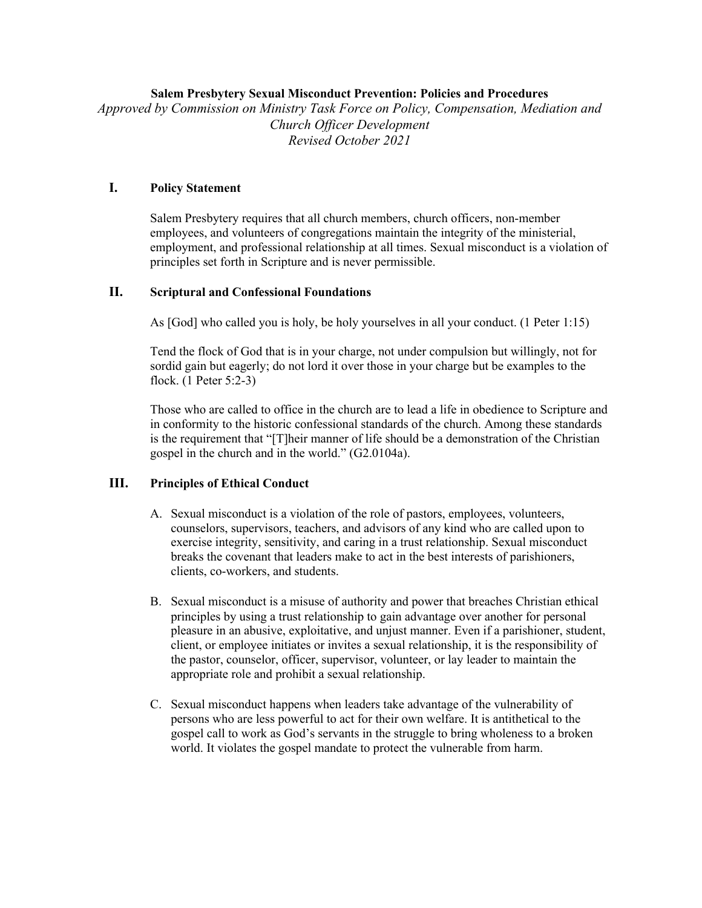### **Salem Presbytery Sexual Misconduct Prevention: Policies and Procedures**

*Approved by Commission on Ministry Task Force on Policy, Compensation, Mediation and Church Officer Development Revised October 2021*

### **I. Policy Statement**

Salem Presbytery requires that all church members, church officers, non-member employees, and volunteers of congregations maintain the integrity of the ministerial, employment, and professional relationship at all times. Sexual misconduct is a violation of principles set forth in Scripture and is never permissible.

# **II. Scriptural and Confessional Foundations**

As [God] who called you is holy, be holy yourselves in all your conduct. (1 Peter 1:15)

Tend the flock of God that is in your charge, not under compulsion but willingly, not for sordid gain but eagerly; do not lord it over those in your charge but be examples to the flock. (1 Peter 5:2-3)

Those who are called to office in the church are to lead a life in obedience to Scripture and in conformity to the historic confessional standards of the church. Among these standards is the requirement that "[T]heir manner of life should be a demonstration of the Christian gospel in the church and in the world." (G2.0104a).

### **III. Principles of Ethical Conduct**

- A. Sexual misconduct is a violation of the role of pastors, employees, volunteers, counselors, supervisors, teachers, and advisors of any kind who are called upon to exercise integrity, sensitivity, and caring in a trust relationship. Sexual misconduct breaks the covenant that leaders make to act in the best interests of parishioners, clients, co-workers, and students.
- B. Sexual misconduct is a misuse of authority and power that breaches Christian ethical principles by using a trust relationship to gain advantage over another for personal pleasure in an abusive, exploitative, and unjust manner. Even if a parishioner, student, client, or employee initiates or invites a sexual relationship, it is the responsibility of the pastor, counselor, officer, supervisor, volunteer, or lay leader to maintain the appropriate role and prohibit a sexual relationship.
- C. Sexual misconduct happens when leaders take advantage of the vulnerability of persons who are less powerful to act for their own welfare. It is antithetical to the gospel call to work as God's servants in the struggle to bring wholeness to a broken world. It violates the gospel mandate to protect the vulnerable from harm.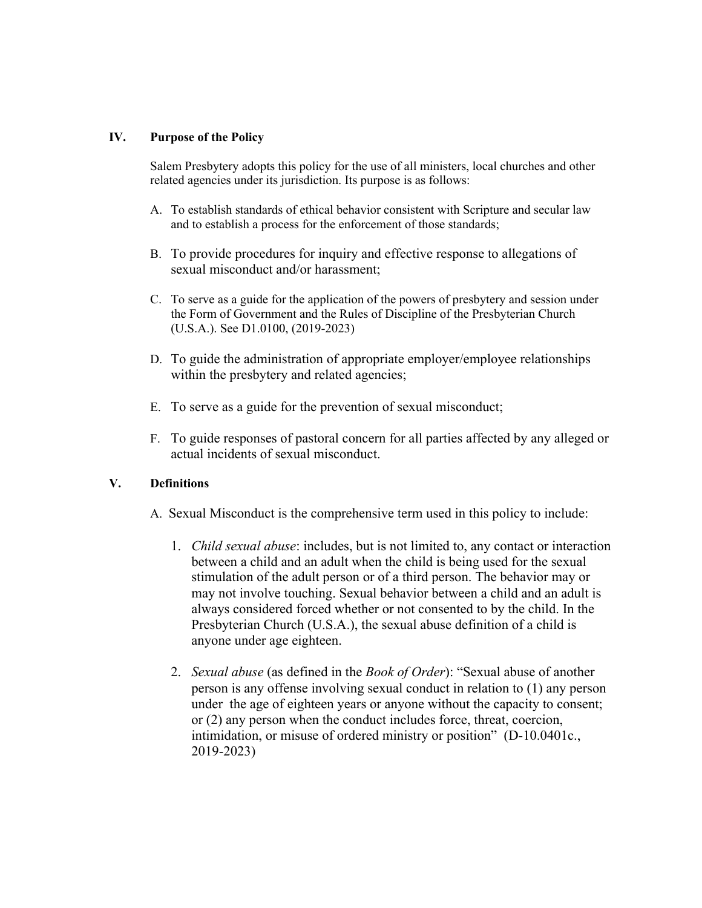## **IV. Purpose of the Policy**

Salem Presbytery adopts this policy for the use of all ministers, local churches and other related agencies under its jurisdiction. Its purpose is as follows:

- A. To establish standards of ethical behavior consistent with Scripture and secular law and to establish a process for the enforcement of those standards;
- B. To provide procedures for inquiry and effective response to allegations of sexual misconduct and/or harassment;
- C. To serve as a guide for the application of the powers of presbytery and session under the Form of Government and the Rules of Discipline of the Presbyterian Church (U.S.A.). See D1.0100, (2019-2023)
- D. To guide the administration of appropriate employer/employee relationships within the presbytery and related agencies;
- E. To serve as a guide for the prevention of sexual misconduct;
- F. To guide responses of pastoral concern for all parties affected by any alleged or actual incidents of sexual misconduct.

# **V. Definitions**

- A. Sexual Misconduct is the comprehensive term used in this policy to include:
	- 1. *Child sexual abuse*: includes, but is not limited to, any contact or interaction between a child and an adult when the child is being used for the sexual stimulation of the adult person or of a third person. The behavior may or may not involve touching. Sexual behavior between a child and an adult is always considered forced whether or not consented to by the child. In the Presbyterian Church (U.S.A.), the sexual abuse definition of a child is anyone under age eighteen.
	- 2. *Sexual abuse* (as defined in the *Book of Order*): "Sexual abuse of another person is any offense involving sexual conduct in relation to (1) any person under the age of eighteen years or anyone without the capacity to consent; or (2) any person when the conduct includes force, threat, coercion, intimidation, or misuse of ordered ministry or position" (D-10.0401c., 2019-2023)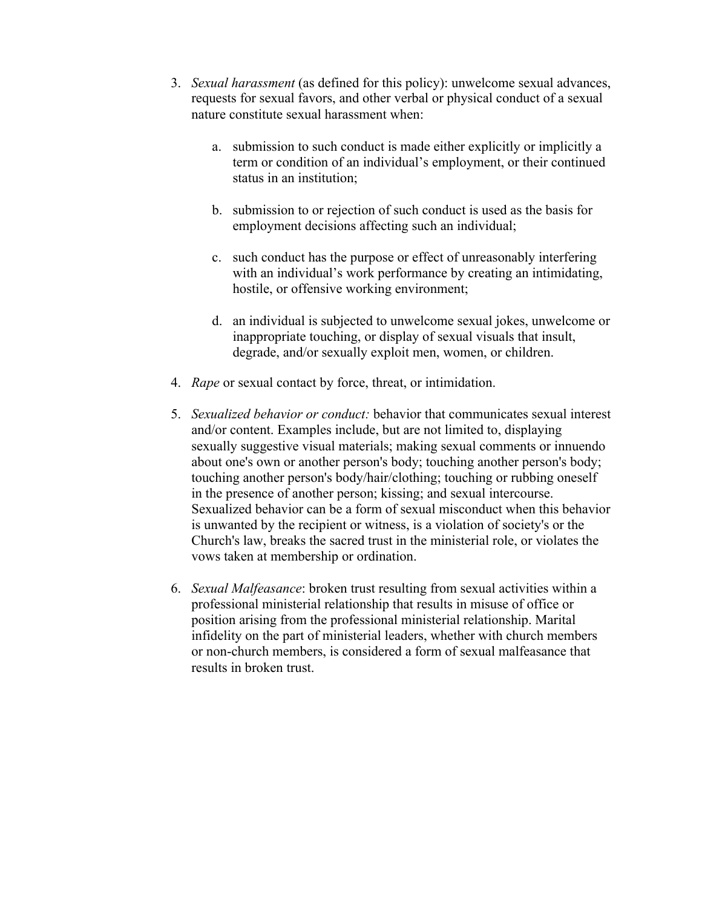- 3. *Sexual harassment* (as defined for this policy): unwelcome sexual advances, requests for sexual favors, and other verbal or physical conduct of a sexual nature constitute sexual harassment when:
	- a. submission to such conduct is made either explicitly or implicitly a term or condition of an individual's employment, or their continued status in an institution;
	- b. submission to or rejection of such conduct is used as the basis for employment decisions affecting such an individual;
	- c. such conduct has the purpose or effect of unreasonably interfering with an individual's work performance by creating an intimidating, hostile, or offensive working environment;
	- d. an individual is subjected to unwelcome sexual jokes, unwelcome or inappropriate touching, or display of sexual visuals that insult, degrade, and/or sexually exploit men, women, or children.
- 4. *Rape* or sexual contact by force, threat, or intimidation.
- 5. *Sexualized behavior or conduct:* behavior that communicates sexual interest and/or content. Examples include, but are not limited to, displaying sexually suggestive visual materials; making sexual comments or innuendo about one's own or another person's body; touching another person's body; touching another person's body/hair/clothing; touching or rubbing oneself in the presence of another person; kissing; and sexual intercourse. Sexualized behavior can be a form of sexual misconduct when this behavior is unwanted by the recipient or witness, is a violation of society's or the Church's law, breaks the sacred trust in the ministerial role, or violates the vows taken at membership or ordination.
- 6. *Sexual Malfeasance*: broken trust resulting from sexual activities within a professional ministerial relationship that results in misuse of office or position arising from the professional ministerial relationship. Marital infidelity on the part of ministerial leaders, whether with church members or non-church members, is considered a form of sexual malfeasance that results in broken trust.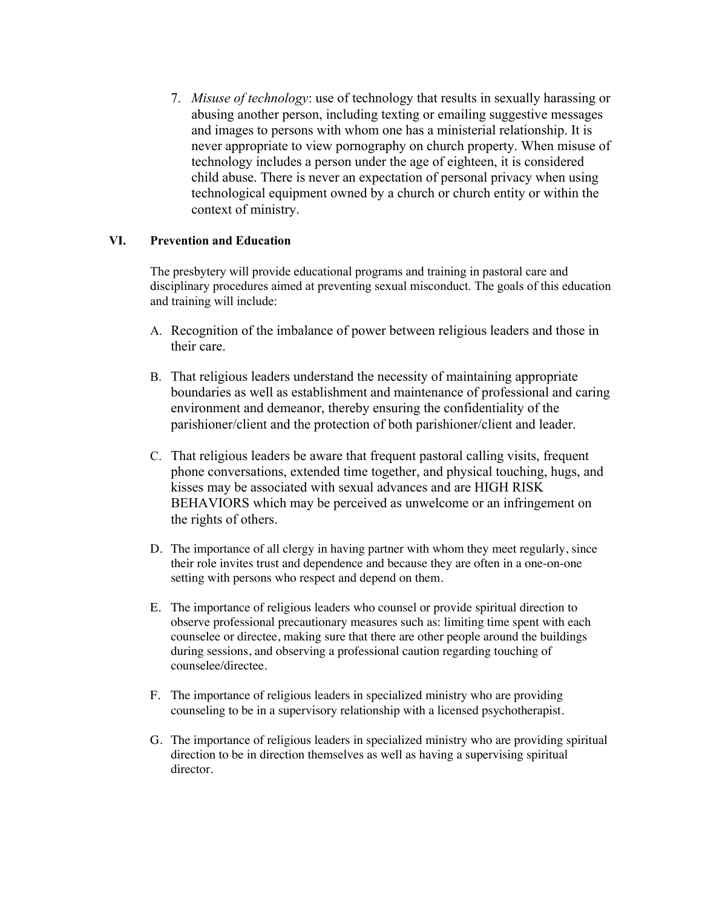7. *Misuse of technology*: use of technology that results in sexually harassing or abusing another person, including texting or emailing suggestive messages and images to persons with whom one has a ministerial relationship. It is never appropriate to view pornography on church property. When misuse of technology includes a person under the age of eighteen, it is considered child abuse. There is never an expectation of personal privacy when using technological equipment owned by a church or church entity or within the context of ministry.

## **VI. Prevention and Education**

The presbytery will provide educational programs and training in pastoral care and disciplinary procedures aimed at preventing sexual misconduct. The goals of this education and training will include:

- A. Recognition of the imbalance of power between religious leaders and those in their care.
- B. That religious leaders understand the necessity of maintaining appropriate boundaries as well as establishment and maintenance of professional and caring environment and demeanor, thereby ensuring the confidentiality of the parishioner/client and the protection of both parishioner/client and leader.
- C. That religious leaders be aware that frequent pastoral calling visits, frequent phone conversations, extended time together, and physical touching, hugs, and kisses may be associated with sexual advances and are HIGH RISK BEHAVIORS which may be perceived as unwelcome or an infringement on the rights of others.
- D. The importance of all clergy in having partner with whom they meet regularly, since their role invites trust and dependence and because they are often in a one-on-one setting with persons who respect and depend on them.
- E. The importance of religious leaders who counsel or provide spiritual direction to observe professional precautionary measures such as: limiting time spent with each counselee or directee, making sure that there are other people around the buildings during sessions, and observing a professional caution regarding touching of counselee/directee.
- F. The importance of religious leaders in specialized ministry who are providing counseling to be in a supervisory relationship with a licensed psychotherapist.
- G. The importance of religious leaders in specialized ministry who are providing spiritual direction to be in direction themselves as well as having a supervising spiritual director.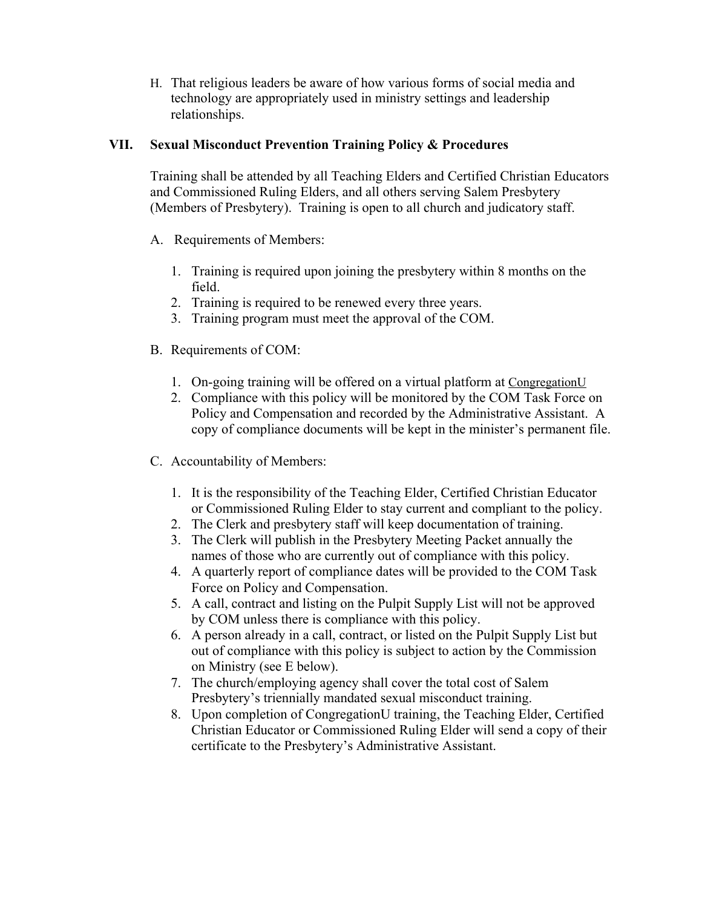H. That religious leaders be aware of how various forms of social media and technology are appropriately used in ministry settings and leadership relationships.

# **VII. Sexual Misconduct Prevention Training Policy & Procedures**

Training shall be attended by all Teaching Elders and Certified Christian Educators and Commissioned Ruling Elders, and all others serving Salem Presbytery (Members of Presbytery). Training is open to all church and judicatory staff.

- A. Requirements of Members:
	- 1. Training is required upon joining the presbytery within 8 months on the field.
	- 2. Training is required to be renewed every three years.
	- 3. Training program must meet the approval of the COM.
- B. Requirements of COM:
	- 1. On-going training will be offered on a virtual platform at CongregationU
	- 2. Compliance with this policy will be monitored by the COM Task Force on Policy and Compensation and recorded by the Administrative Assistant. A copy of compliance documents will be kept in the minister's permanent file.
- C. Accountability of Members:
	- 1. It is the responsibility of the Teaching Elder, Certified Christian Educator or Commissioned Ruling Elder to stay current and compliant to the policy.
	- 2. The Clerk and presbytery staff will keep documentation of training.
	- 3. The Clerk will publish in the Presbytery Meeting Packet annually the names of those who are currently out of compliance with this policy.
	- 4. A quarterly report of compliance dates will be provided to the COM Task Force on Policy and Compensation.
	- 5. A call, contract and listing on the Pulpit Supply List will not be approved by COM unless there is compliance with this policy.
	- 6. A person already in a call, contract, or listed on the Pulpit Supply List but out of compliance with this policy is subject to action by the Commission on Ministry (see E below).
	- 7. The church/employing agency shall cover the total cost of Salem Presbytery's triennially mandated sexual misconduct training.
	- 8. Upon completion of CongregationU training, the Teaching Elder, Certified Christian Educator or Commissioned Ruling Elder will send a copy of their certificate to the Presbytery's Administrative Assistant.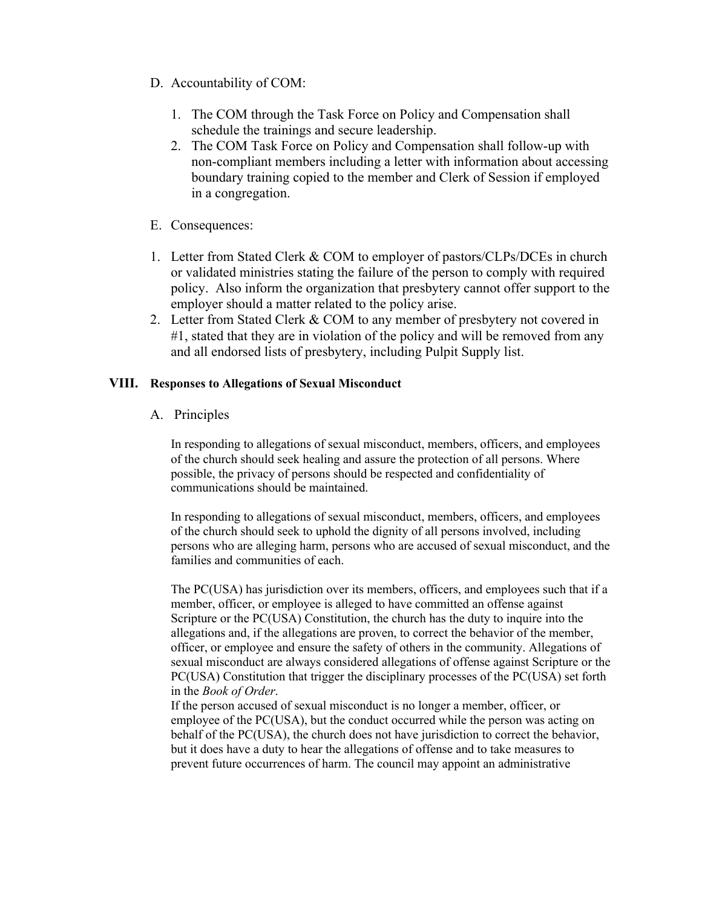- D. Accountability of COM:
	- 1. The COM through the Task Force on Policy and Compensation shall schedule the trainings and secure leadership.
	- 2. The COM Task Force on Policy and Compensation shall follow-up with non-compliant members including a letter with information about accessing boundary training copied to the member and Clerk of Session if employed in a congregation.
- E. Consequences:
- 1. Letter from Stated Clerk & COM to employer of pastors/CLPs/DCEs in church or validated ministries stating the failure of the person to comply with required policy. Also inform the organization that presbytery cannot offer support to the employer should a matter related to the policy arise.
- 2. Letter from Stated Clerk & COM to any member of presbytery not covered in #1, stated that they are in violation of the policy and will be removed from any and all endorsed lists of presbytery, including Pulpit Supply list.

### **VIII. Responses to Allegations of Sexual Misconduct**

A. Principles

In responding to allegations of sexual misconduct, members, officers, and employees of the church should seek healing and assure the protection of all persons. Where possible, the privacy of persons should be respected and confidentiality of communications should be maintained.

In responding to allegations of sexual misconduct, members, officers, and employees of the church should seek to uphold the dignity of all persons involved, including persons who are alleging harm, persons who are accused of sexual misconduct, and the families and communities of each.

The PC(USA) has jurisdiction over its members, officers, and employees such that if a member, officer, or employee is alleged to have committed an offense against Scripture or the PC(USA) Constitution, the church has the duty to inquire into the allegations and, if the allegations are proven, to correct the behavior of the member, officer, or employee and ensure the safety of others in the community. Allegations of sexual misconduct are always considered allegations of offense against Scripture or the PC(USA) Constitution that trigger the disciplinary processes of the PC(USA) set forth in the *Book of Order*.

If the person accused of sexual misconduct is no longer a member, officer, or employee of the PC(USA), but the conduct occurred while the person was acting on behalf of the PC(USA), the church does not have jurisdiction to correct the behavior, but it does have a duty to hear the allegations of offense and to take measures to prevent future occurrences of harm. The council may appoint an administrative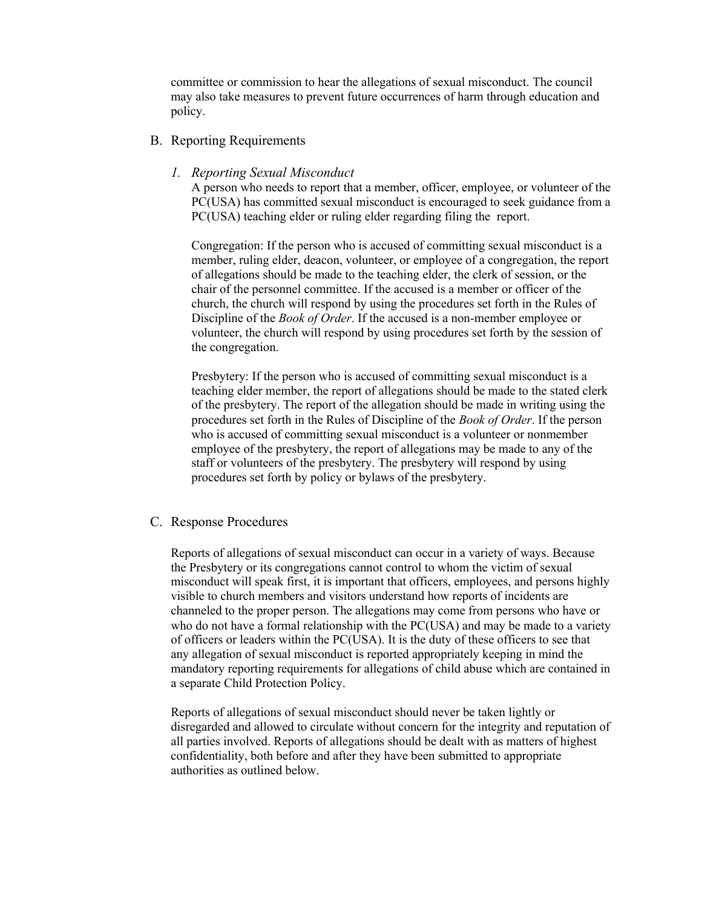committee or commission to hear the allegations of sexual misconduct. The council may also take measures to prevent future occurrences of harm through education and policy.

### B. Reporting Requirements

#### *1. Reporting Sexual Misconduct*

A person who needs to report that a member, officer, employee, or volunteer of the PC(USA) has committed sexual misconduct is encouraged to seek guidance from a PC(USA) teaching elder or ruling elder regarding filing the report.

Congregation: If the person who is accused of committing sexual misconduct is a member, ruling elder, deacon, volunteer, or employee of a congregation, the report of allegations should be made to the teaching elder, the clerk of session, or the chair of the personnel committee. If the accused is a member or officer of the church, the church will respond by using the procedures set forth in the Rules of Discipline of the *Book of Order*. If the accused is a non-member employee or volunteer, the church will respond by using procedures set forth by the session of the congregation.

Presbytery: If the person who is accused of committing sexual misconduct is a teaching elder member, the report of allegations should be made to the stated clerk of the presbytery. The report of the allegation should be made in writing using the procedures set forth in the Rules of Discipline of the *Book of Order*. If the person who is accused of committing sexual misconduct is a volunteer or nonmember employee of the presbytery, the report of allegations may be made to any of the staff or volunteers of the presbytery. The presbytery will respond by using procedures set forth by policy or bylaws of the presbytery.

#### C. Response Procedures

Reports of allegations of sexual misconduct can occur in a variety of ways. Because the Presbytery or its congregations cannot control to whom the victim of sexual misconduct will speak first, it is important that officers, employees, and persons highly visible to church members and visitors understand how reports of incidents are channeled to the proper person. The allegations may come from persons who have or who do not have a formal relationship with the PC(USA) and may be made to a variety of officers or leaders within the PC(USA). It is the duty of these officers to see that any allegation of sexual misconduct is reported appropriately keeping in mind the mandatory reporting requirements for allegations of child abuse which are contained in a separate Child Protection Policy.

Reports of allegations of sexual misconduct should never be taken lightly or disregarded and allowed to circulate without concern for the integrity and reputation of all parties involved. Reports of allegations should be dealt with as matters of highest confidentiality, both before and after they have been submitted to appropriate authorities as outlined below.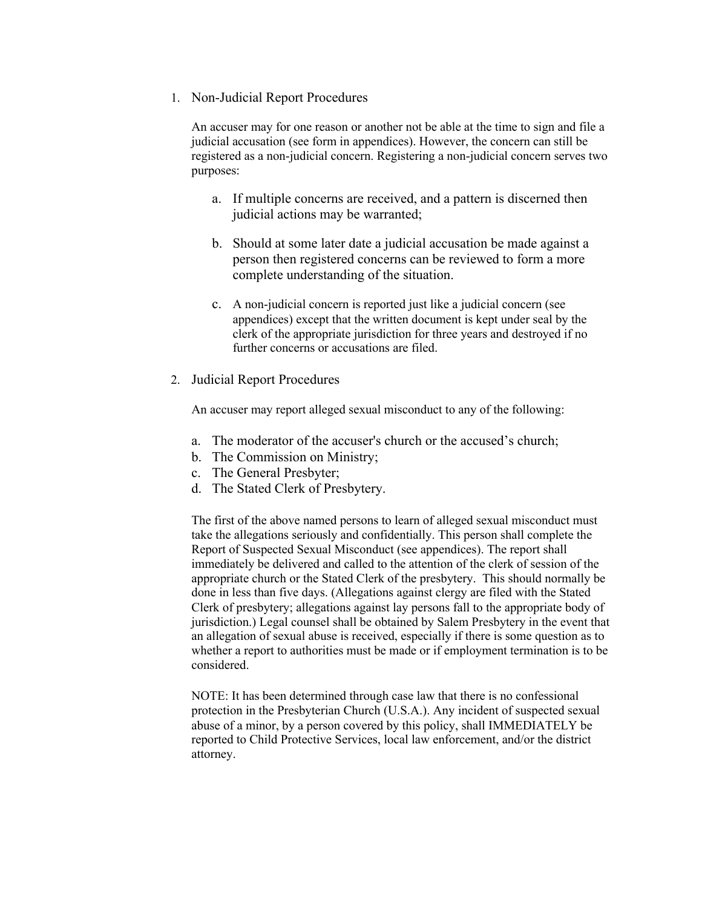## 1. Non-Judicial Report Procedures

An accuser may for one reason or another not be able at the time to sign and file a judicial accusation (see form in appendices). However, the concern can still be registered as a non-judicial concern. Registering a non-judicial concern serves two purposes:

- a. If multiple concerns are received, and a pattern is discerned then judicial actions may be warranted;
- b. Should at some later date a judicial accusation be made against a person then registered concerns can be reviewed to form a more complete understanding of the situation.
- c. A non-judicial concern is reported just like a judicial concern (see appendices) except that the written document is kept under seal by the clerk of the appropriate jurisdiction for three years and destroyed if no further concerns or accusations are filed.

## 2. Judicial Report Procedures

An accuser may report alleged sexual misconduct to any of the following:

- a. The moderator of the accuser's church or the accused's church;
- b. The Commission on Ministry;
- c. The General Presbyter;
- d. The Stated Clerk of Presbytery.

The first of the above named persons to learn of alleged sexual misconduct must take the allegations seriously and confidentially. This person shall complete the Report of Suspected Sexual Misconduct (see appendices). The report shall immediately be delivered and called to the attention of the clerk of session of the appropriate church or the Stated Clerk of the presbytery. This should normally be done in less than five days. (Allegations against clergy are filed with the Stated Clerk of presbytery; allegations against lay persons fall to the appropriate body of jurisdiction.) Legal counsel shall be obtained by Salem Presbytery in the event that an allegation of sexual abuse is received, especially if there is some question as to whether a report to authorities must be made or if employment termination is to be considered.

NOTE: It has been determined through case law that there is no confessional protection in the Presbyterian Church (U.S.A.). Any incident of suspected sexual abuse of a minor, by a person covered by this policy, shall IMMEDIATELY be reported to Child Protective Services, local law enforcement, and/or the district attorney.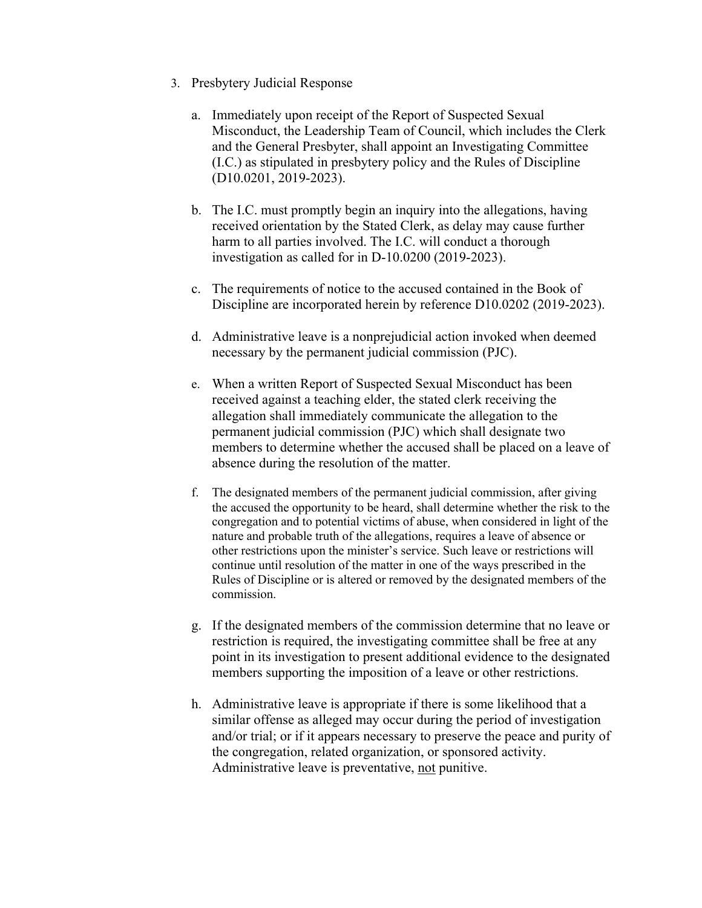- 3. Presbytery Judicial Response
	- a. Immediately upon receipt of the Report of Suspected Sexual Misconduct, the Leadership Team of Council, which includes the Clerk and the General Presbyter, shall appoint an Investigating Committee (I.C.) as stipulated in presbytery policy and the Rules of Discipline (D10.0201, 2019-2023).
	- b. The I.C. must promptly begin an inquiry into the allegations, having received orientation by the Stated Clerk, as delay may cause further harm to all parties involved. The I.C. will conduct a thorough investigation as called for in D-10.0200 (2019-2023).
	- c. The requirements of notice to the accused contained in the Book of Discipline are incorporated herein by reference D10.0202 (2019-2023).
	- d. Administrative leave is a nonprejudicial action invoked when deemed necessary by the permanent judicial commission (PJC).
	- e. When a written Report of Suspected Sexual Misconduct has been received against a teaching elder, the stated clerk receiving the allegation shall immediately communicate the allegation to the permanent judicial commission (PJC) which shall designate two members to determine whether the accused shall be placed on a leave of absence during the resolution of the matter.
	- f. The designated members of the permanent judicial commission, after giving the accused the opportunity to be heard, shall determine whether the risk to the congregation and to potential victims of abuse, when considered in light of the nature and probable truth of the allegations, requires a leave of absence or other restrictions upon the minister's service. Such leave or restrictions will continue until resolution of the matter in one of the ways prescribed in the Rules of Discipline or is altered or removed by the designated members of the commission.
	- g. If the designated members of the commission determine that no leave or restriction is required, the investigating committee shall be free at any point in its investigation to present additional evidence to the designated members supporting the imposition of a leave or other restrictions.
	- h. Administrative leave is appropriate if there is some likelihood that a similar offense as alleged may occur during the period of investigation and/or trial; or if it appears necessary to preserve the peace and purity of the congregation, related organization, or sponsored activity. Administrative leave is preventative, not punitive.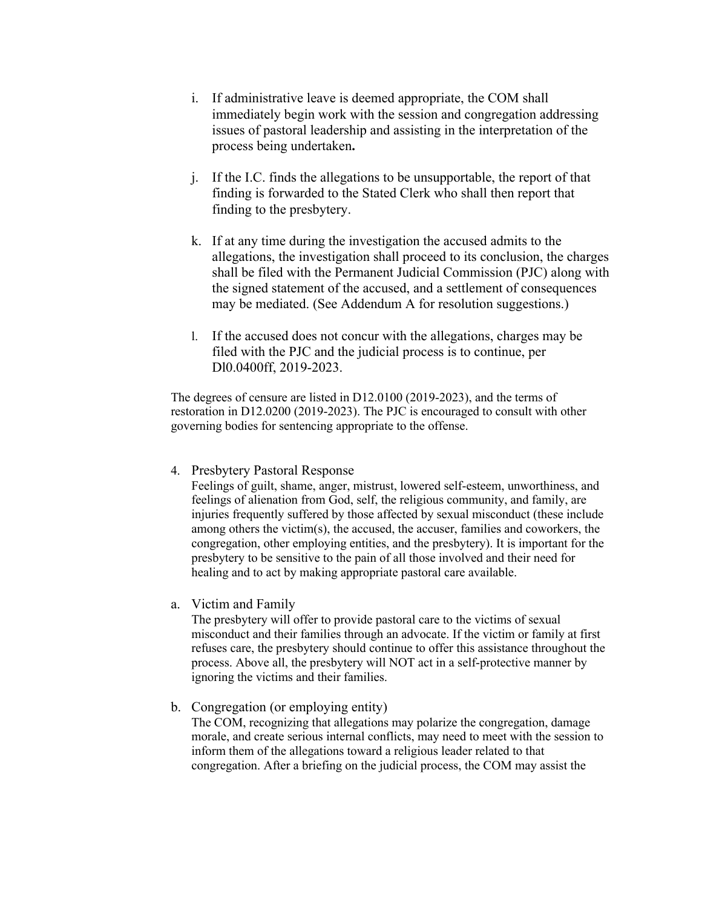- i. If administrative leave is deemed appropriate, the COM shall immediately begin work with the session and congregation addressing issues of pastoral leadership and assisting in the interpretation of the process being undertaken**.**
- j. If the I.C. finds the allegations to be unsupportable, the report of that finding is forwarded to the Stated Clerk who shall then report that finding to the presbytery.
- k. If at any time during the investigation the accused admits to the allegations, the investigation shall proceed to its conclusion, the charges shall be filed with the Permanent Judicial Commission (PJC) along with the signed statement of the accused, and a settlement of consequences may be mediated. (See Addendum A for resolution suggestions.)
- l. If the accused does not concur with the allegations, charges may be filed with the PJC and the judicial process is to continue, per Dl0.0400ff, 2019-2023.

The degrees of censure are listed in D12.0100 (2019-2023), and the terms of restoration in D12.0200 (2019-2023). The PJC is encouraged to consult with other governing bodies for sentencing appropriate to the offense.

### 4. Presbytery Pastoral Response

Feelings of guilt, shame, anger, mistrust, lowered self-esteem, unworthiness, and feelings of alienation from God, self, the religious community, and family, are injuries frequently suffered by those affected by sexual misconduct (these include among others the victim(s), the accused, the accuser, families and coworkers, the congregation, other employing entities, and the presbytery). It is important for the presbytery to be sensitive to the pain of all those involved and their need for healing and to act by making appropriate pastoral care available.

# a. Victim and Family

The presbytery will offer to provide pastoral care to the victims of sexual misconduct and their families through an advocate. If the victim or family at first refuses care, the presbytery should continue to offer this assistance throughout the process. Above all, the presbytery will NOT act in a self-protective manner by ignoring the victims and their families.

# b. Congregation (or employing entity)

The COM, recognizing that allegations may polarize the congregation, damage morale, and create serious internal conflicts, may need to meet with the session to inform them of the allegations toward a religious leader related to that congregation. After a briefing on the judicial process, the COM may assist the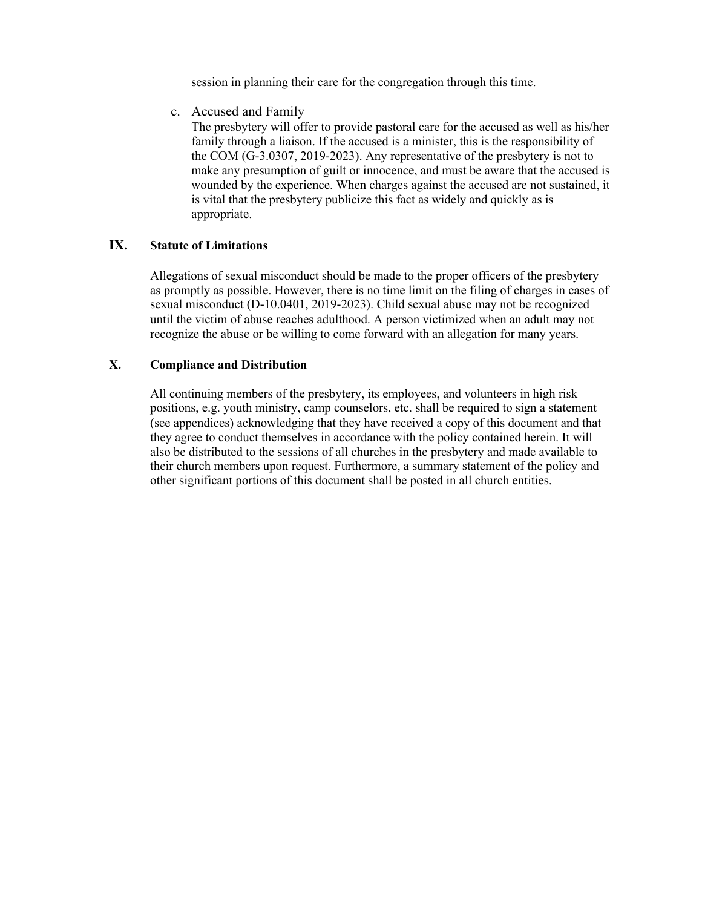session in planning their care for the congregation through this time.

c. Accused and Family

The presbytery will offer to provide pastoral care for the accused as well as his/her family through a liaison. If the accused is a minister, this is the responsibility of the COM (G-3.0307, 2019-2023). Any representative of the presbytery is not to make any presumption of guilt or innocence, and must be aware that the accused is wounded by the experience. When charges against the accused are not sustained, it is vital that the presbytery publicize this fact as widely and quickly as is appropriate.

### **IX. Statute of Limitations**

Allegations of sexual misconduct should be made to the proper officers of the presbytery as promptly as possible. However, there is no time limit on the filing of charges in cases of sexual misconduct (D-10.0401, 2019-2023). Child sexual abuse may not be recognized until the victim of abuse reaches adulthood. A person victimized when an adult may not recognize the abuse or be willing to come forward with an allegation for many years.

## **X. Compliance and Distribution**

All continuing members of the presbytery, its employees, and volunteers in high risk positions, e.g. youth ministry, camp counselors, etc. shall be required to sign a statement (see appendices) acknowledging that they have received a copy of this document and that they agree to conduct themselves in accordance with the policy contained herein. It will also be distributed to the sessions of all churches in the presbytery and made available to their church members upon request. Furthermore, a summary statement of the policy and other significant portions of this document shall be posted in all church entities.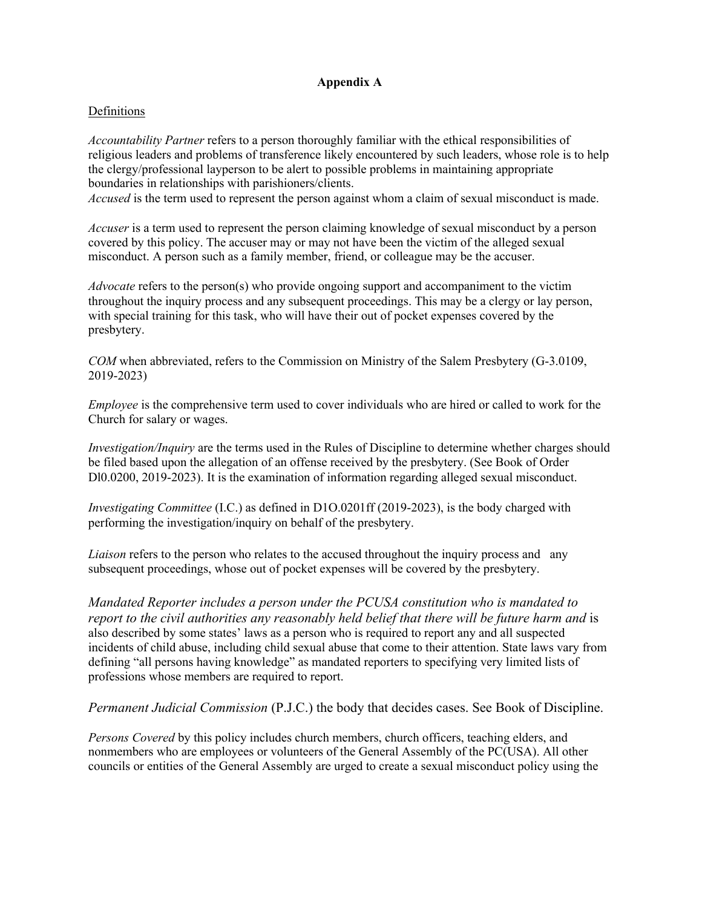# **Appendix A**

### Definitions

*Accountability Partner* refers to a person thoroughly familiar with the ethical responsibilities of religious leaders and problems of transference likely encountered by such leaders, whose role is to help the clergy/professional layperson to be alert to possible problems in maintaining appropriate boundaries in relationships with parishioners/clients.

*Accused* is the term used to represent the person against whom a claim of sexual misconduct is made.

*Accuser* is a term used to represent the person claiming knowledge of sexual misconduct by a person covered by this policy. The accuser may or may not have been the victim of the alleged sexual misconduct. A person such as a family member, friend, or colleague may be the accuser.

*Advocate* refers to the person(s) who provide ongoing support and accompaniment to the victim throughout the inquiry process and any subsequent proceedings. This may be a clergy or lay person, with special training for this task, who will have their out of pocket expenses covered by the presbytery.

*COM* when abbreviated, refers to the Commission on Ministry of the Salem Presbytery (G-3.0109, 2019-2023)

*Employee* is the comprehensive term used to cover individuals who are hired or called to work for the Church for salary or wages.

*Investigation/Inquiry* are the terms used in the Rules of Discipline to determine whether charges should be filed based upon the allegation of an offense received by the presbytery. (See Book of Order Dl0.0200, 2019-2023). It is the examination of information regarding alleged sexual misconduct.

*Investigating Committee* (I.C.) as defined in D1O.0201ff (2019-2023), is the body charged with performing the investigation/inquiry on behalf of the presbytery.

*Liaison* refers to the person who relates to the accused throughout the inquiry process and any subsequent proceedings, whose out of pocket expenses will be covered by the presbytery.

*Mandated Reporter includes a person under the PCUSA constitution who is mandated to report to the civil authorities any reasonably held belief that there will be future harm and is* also described by some states' laws as a person who is required to report any and all suspected incidents of child abuse, including child sexual abuse that come to their attention. State laws vary from defining "all persons having knowledge" as mandated reporters to specifying very limited lists of professions whose members are required to report.

*Permanent Judicial Commission* (P.J.C.) the body that decides cases. See Book of Discipline.

*Persons Covered* by this policy includes church members, church officers, teaching elders, and nonmembers who are employees or volunteers of the General Assembly of the PC(USA). All other councils or entities of the General Assembly are urged to create a sexual misconduct policy using the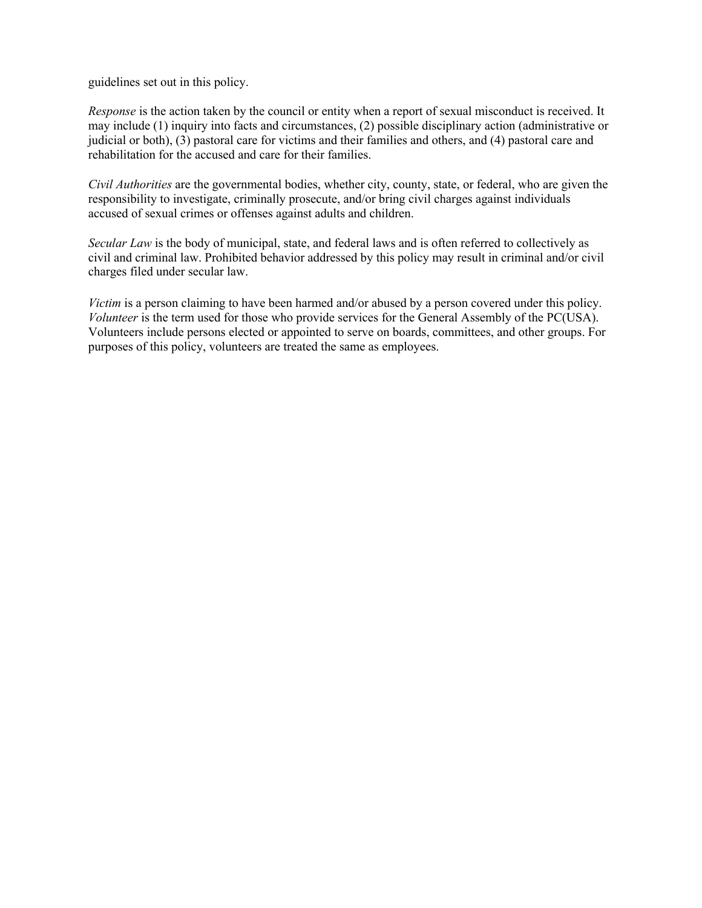guidelines set out in this policy.

*Response* is the action taken by the council or entity when a report of sexual misconduct is received. It may include (1) inquiry into facts and circumstances, (2) possible disciplinary action (administrative or judicial or both), (3) pastoral care for victims and their families and others, and (4) pastoral care and rehabilitation for the accused and care for their families.

*Civil Authorities* are the governmental bodies, whether city, county, state, or federal, who are given the responsibility to investigate, criminally prosecute, and/or bring civil charges against individuals accused of sexual crimes or offenses against adults and children.

*Secular Law* is the body of municipal, state, and federal laws and is often referred to collectively as civil and criminal law. Prohibited behavior addressed by this policy may result in criminal and/or civil charges filed under secular law.

*Victim* is a person claiming to have been harmed and/or abused by a person covered under this policy. *Volunteer* is the term used for those who provide services for the General Assembly of the PC(USA). Volunteers include persons elected or appointed to serve on boards, committees, and other groups. For purposes of this policy, volunteers are treated the same as employees.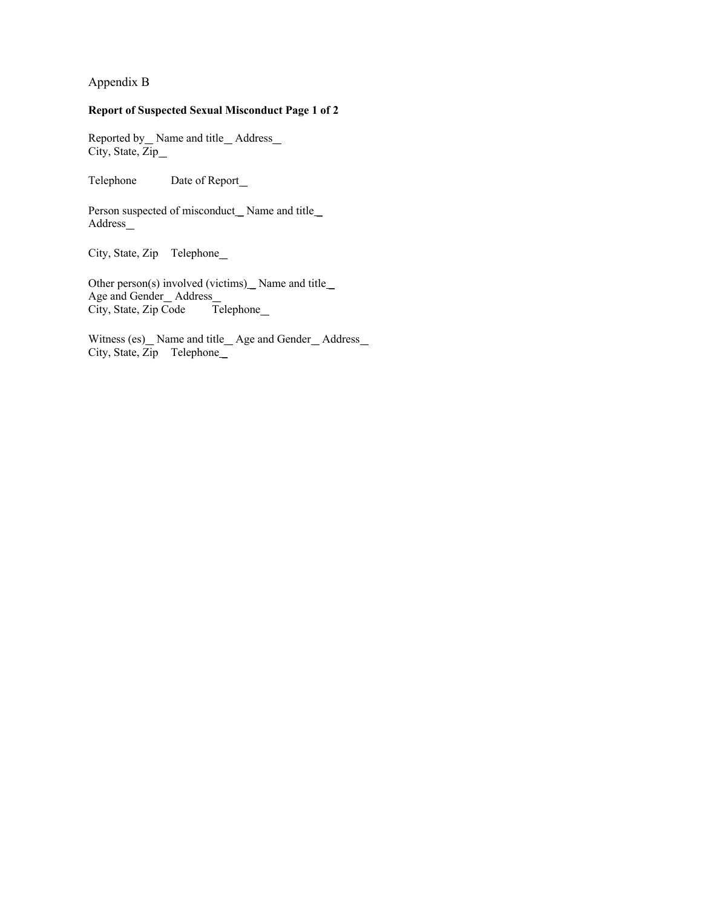Appendix B

#### **Report of Suspected Sexual Misconduct Page 1 of 2**

Reported by \_ Name and title \_ Address City, State, Zip\_

Telephone Date of Report\_

Person suspected of misconduct\_Name and title\_ Address \_

City, State, Zip Telephone\_

Other person(s) involved (victims) $\_\_\_\$  Name and title Age and Gender Address<br>City, State, Zip Code Telephone City, State, Zip Code

Witness (es) \_ Name and title \_ Age and Gender \_ Address \_ City, State, Zip Telephone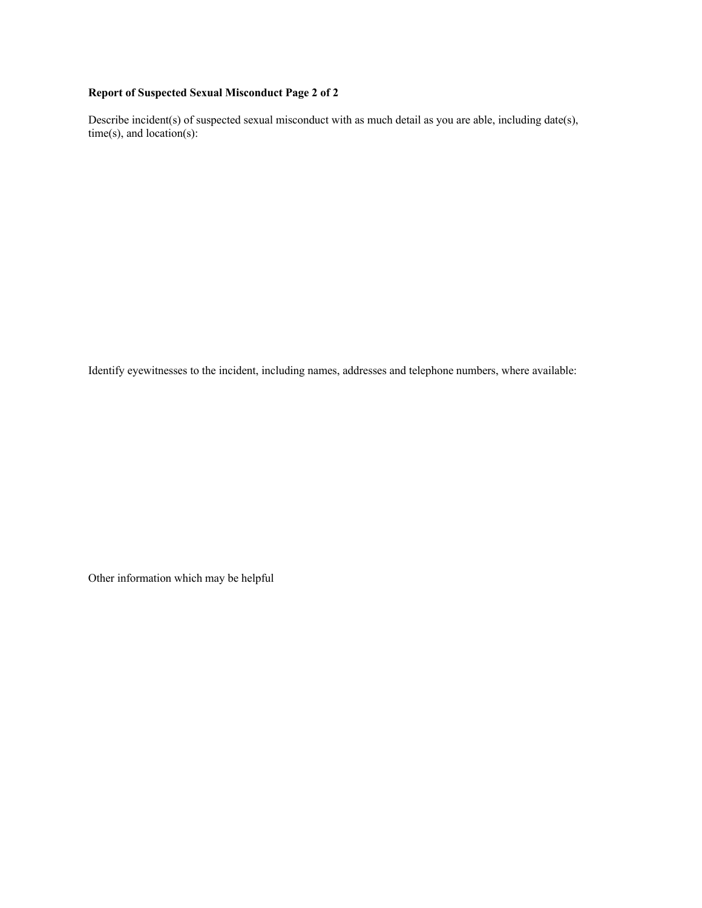# **Report of Suspected Sexual Misconduct Page 2 of 2**

Describe incident(s) of suspected sexual misconduct with as much detail as you are able, including date(s), time(s), and location(s):

Identify eyewitnesses to the incident, including names, addresses and telephone numbers, where available:

Other information which may be helpful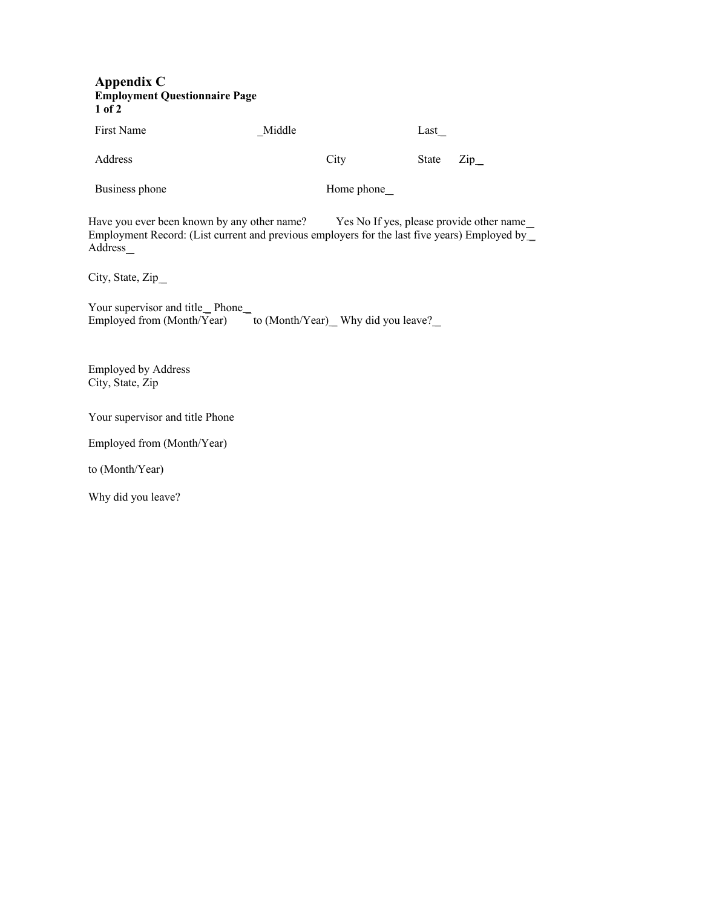#### **Appendix C Employment Questionnaire Page 1 of 2**

First Name \_Middle Last \_

Address City State Zip

Business phone Home phone

Have you ever been known by any other name? Yes No If yes, please provide other name Employment Record: (List current and previous employers for the last five years) Employed by Address\_

City, State, Zip\_

Your supervisor and title\_Phone\_ Employed from (Month/Year) to (Month/Year) Why did you leave?

Employed by Address City, State, Zip

Your supervisor and title Phone

Employed from (Month/Year)

to (Month/Year)

Why did you leave?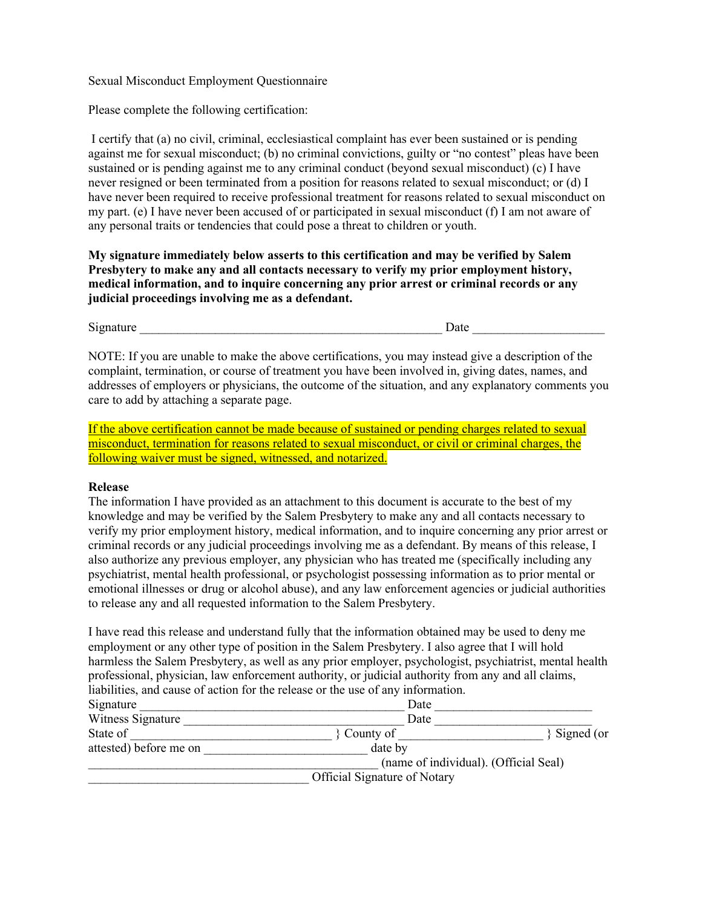#### Sexual Misconduct Employment Questionnaire

Please complete the following certification:

I certify that (a) no civil, criminal, ecclesiastical complaint has ever been sustained or is pending against me for sexual misconduct; (b) no criminal convictions, guilty or "no contest" pleas have been sustained or is pending against me to any criminal conduct (beyond sexual misconduct) (c) I have never resigned or been terminated from a position for reasons related to sexual misconduct; or (d) I have never been required to receive professional treatment for reasons related to sexual misconduct on my part. (e) I have never been accused of or participated in sexual misconduct (f) I am not aware of any personal traits or tendencies that could pose a threat to children or youth.

**My signature immediately below asserts to this certification and may be verified by Salem Presbytery to make any and all contacts necessary to verify my prior employment history, medical information, and to inquire concerning any prior arrest or criminal records or any judicial proceedings involving me as a defendant.** 

Signature \_\_\_\_\_\_\_\_\_\_\_\_\_\_\_\_\_\_\_\_\_\_\_\_\_\_\_\_\_\_\_\_\_\_\_\_\_\_\_\_\_\_\_\_\_\_\_\_ Date \_\_\_\_\_\_\_\_\_\_\_\_\_\_\_\_\_\_\_\_\_

NOTE: If you are unable to make the above certifications, you may instead give a description of the complaint, termination, or course of treatment you have been involved in, giving dates, names, and addresses of employers or physicians, the outcome of the situation, and any explanatory comments you care to add by attaching a separate page.

If the above certification cannot be made because of sustained or pending charges related to sexual misconduct, termination for reasons related to sexual misconduct, or civil or criminal charges, the following waiver must be signed, witnessed, and notarized.

#### **Release**

The information I have provided as an attachment to this document is accurate to the best of my knowledge and may be verified by the Salem Presbytery to make any and all contacts necessary to verify my prior employment history, medical information, and to inquire concerning any prior arrest or criminal records or any judicial proceedings involving me as a defendant. By means of this release, I also authorize any previous employer, any physician who has treated me (specifically including any psychiatrist, mental health professional, or psychologist possessing information as to prior mental or emotional illnesses or drug or alcohol abuse), and any law enforcement agencies or judicial authorities to release any and all requested information to the Salem Presbytery.

I have read this release and understand fully that the information obtained may be used to deny me employment or any other type of position in the Salem Presbytery. I also agree that I will hold harmless the Salem Presbytery, as well as any prior employer, psychologist, psychiatrist, mental health professional, physician, law enforcement authority, or judicial authority from any and all claims, liabilities, and cause of action for the release or the use of any information.

| Signature              | Date                                  |            |
|------------------------|---------------------------------------|------------|
| Witness Signature      | Date                                  |            |
| State of               | County of                             | Signed (or |
| attested) before me on | date by                               |            |
|                        | (name of individual). (Official Seal) |            |
|                        | Official Signature of Notary          |            |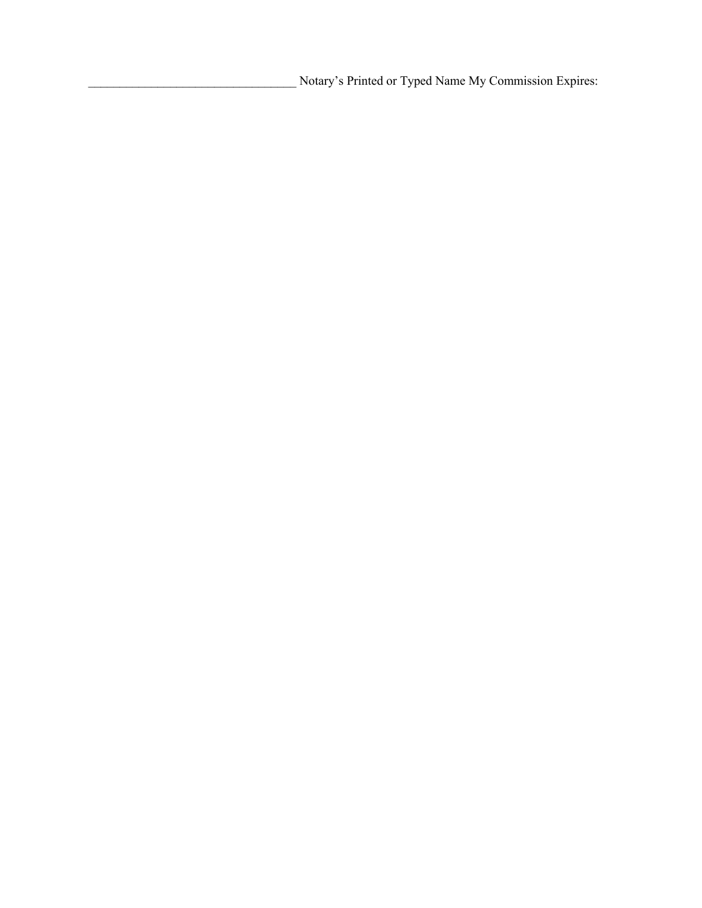\_\_\_\_\_\_\_\_\_\_\_\_\_\_\_\_\_\_\_\_\_\_\_\_\_\_\_\_\_\_\_\_\_ Notary's Printed or Typed Name My Commission Expires: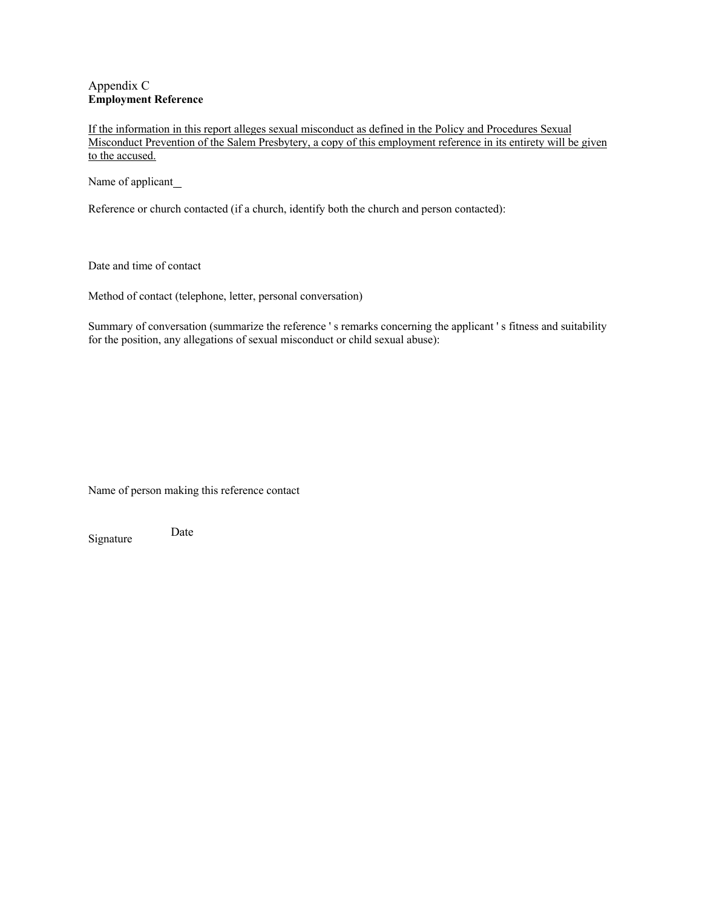#### Appendix C **Employment Reference**

If the information in this report alleges sexual misconduct as defined in the Policy and Procedures Sexual Misconduct Prevention of the Salem Presbytery, a copy of this employment reference in its entirety will be given to the accused.

Name of applicant\_

Reference or church contacted (if a church, identify both the church and person contacted):

Date and time of contact

Method of contact (telephone, letter, personal conversation)

Summary of conversation (summarize the reference ' s remarks concerning the applicant ' s fitness and suitability for the position, any allegations of sexual misconduct or child sexual abuse):

Name of person making this reference contact

Signature Date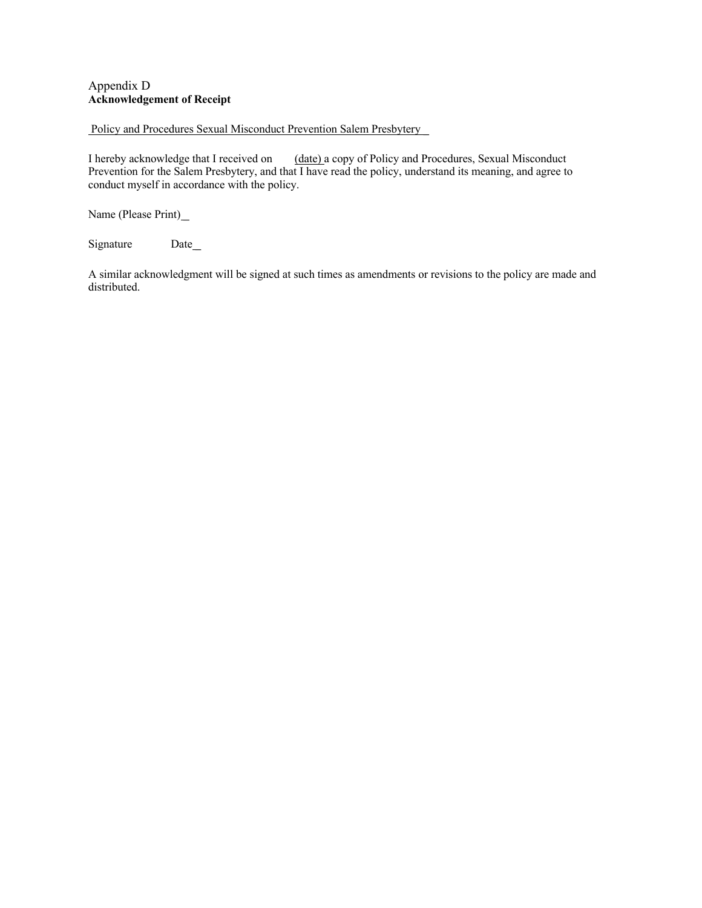### Appendix D **Acknowledgement of Receipt**

#### Policy and Procedures Sexual Misconduct Prevention Salem Presbytery

I hereby acknowledge that I received on (date) a copy of Policy and Procedures, Sexual Misconduct Prevention for the Salem Presbytery, and that I have read the policy, understand its meaning, and agree to conduct myself in accordance with the policy.

Name (Please Print)\_

Signature Date

A similar acknowledgment will be signed at such times as amendments or revisions to the policy are made and distributed.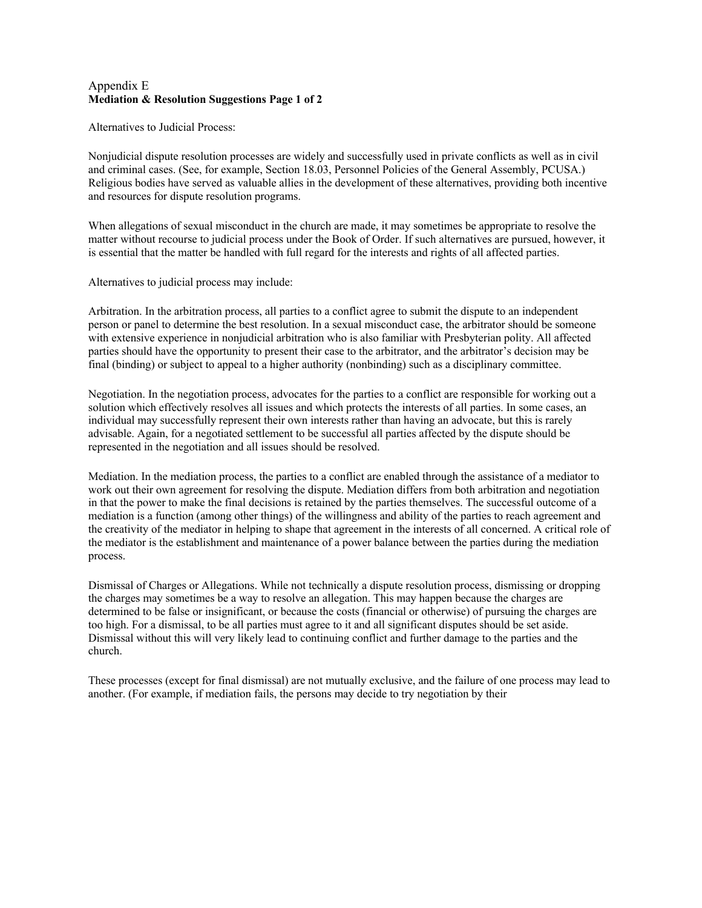### Appendix E **Mediation & Resolution Suggestions Page 1 of 2**

Alternatives to Judicial Process:

Nonjudicial dispute resolution processes are widely and successfully used in private conflicts as well as in civil and criminal cases. (See, for example, Section 18.03, Personnel Policies of the General Assembly, PCUSA.) Religious bodies have served as valuable allies in the development of these alternatives, providing both incentive and resources for dispute resolution programs.

When allegations of sexual misconduct in the church are made, it may sometimes be appropriate to resolve the matter without recourse to judicial process under the Book of Order. If such alternatives are pursued, however, it is essential that the matter be handled with full regard for the interests and rights of all affected parties.

Alternatives to judicial process may include:

Arbitration. In the arbitration process, all parties to a conflict agree to submit the dispute to an independent person or panel to determine the best resolution. In a sexual misconduct case, the arbitrator should be someone with extensive experience in nonjudicial arbitration who is also familiar with Presbyterian polity. All affected parties should have the opportunity to present their case to the arbitrator, and the arbitrator's decision may be final (binding) or subject to appeal to a higher authority (nonbinding) such as a disciplinary committee.

Negotiation. In the negotiation process, advocates for the parties to a conflict are responsible for working out a solution which effectively resolves all issues and which protects the interests of all parties. In some cases, an individual may successfully represent their own interests rather than having an advocate, but this is rarely advisable. Again, for a negotiated settlement to be successful all parties affected by the dispute should be represented in the negotiation and all issues should be resolved.

Mediation. In the mediation process, the parties to a conflict are enabled through the assistance of a mediator to work out their own agreement for resolving the dispute. Mediation differs from both arbitration and negotiation in that the power to make the final decisions is retained by the parties themselves. The successful outcome of a mediation is a function (among other things) of the willingness and ability of the parties to reach agreement and the creativity of the mediator in helping to shape that agreement in the interests of all concerned. A critical role of the mediator is the establishment and maintenance of a power balance between the parties during the mediation process.

Dismissal of Charges or Allegations. While not technically a dispute resolution process, dismissing or dropping the charges may sometimes be a way to resolve an allegation. This may happen because the charges are determined to be false or insignificant, or because the costs (financial or otherwise) of pursuing the charges are too high. For a dismissal, to be all parties must agree to it and all significant disputes should be set aside. Dismissal without this will very likely lead to continuing conflict and further damage to the parties and the church.

These processes (except for final dismissal) are not mutually exclusive, and the failure of one process may lead to another. (For example, if mediation fails, the persons may decide to try negotiation by their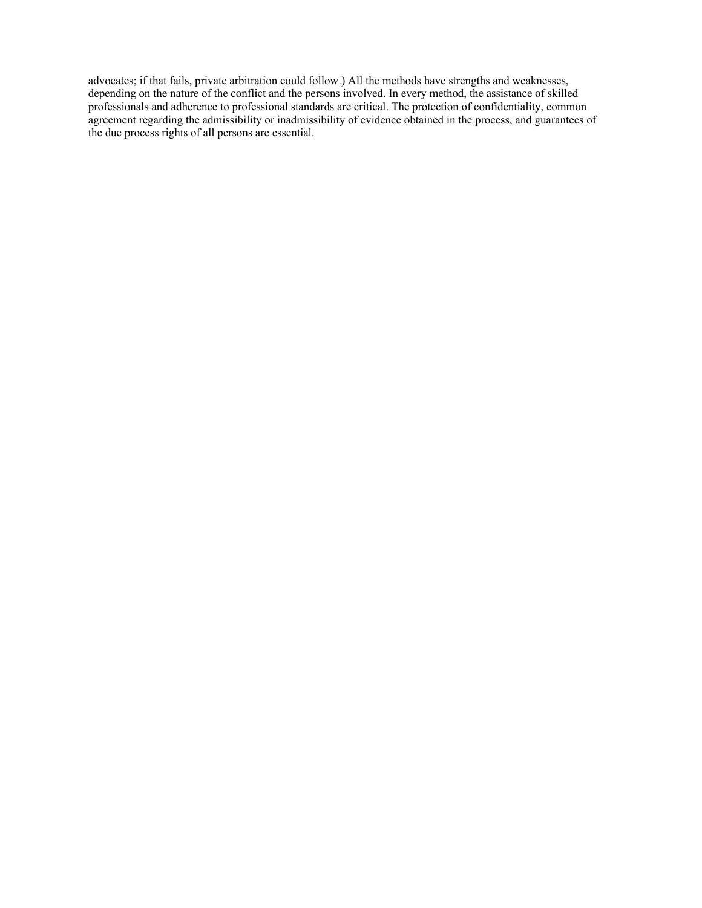advocates; if that fails, private arbitration could follow.) All the methods have strengths and weaknesses, depending on the nature of the conflict and the persons involved. In every method, the assistance of skilled professionals and adherence to professional standards are critical. The protection of confidentiality, common agreement regarding the admissibility or inadmissibility of evidence obtained in the process, and guarantees of the due process rights of all persons are essential.